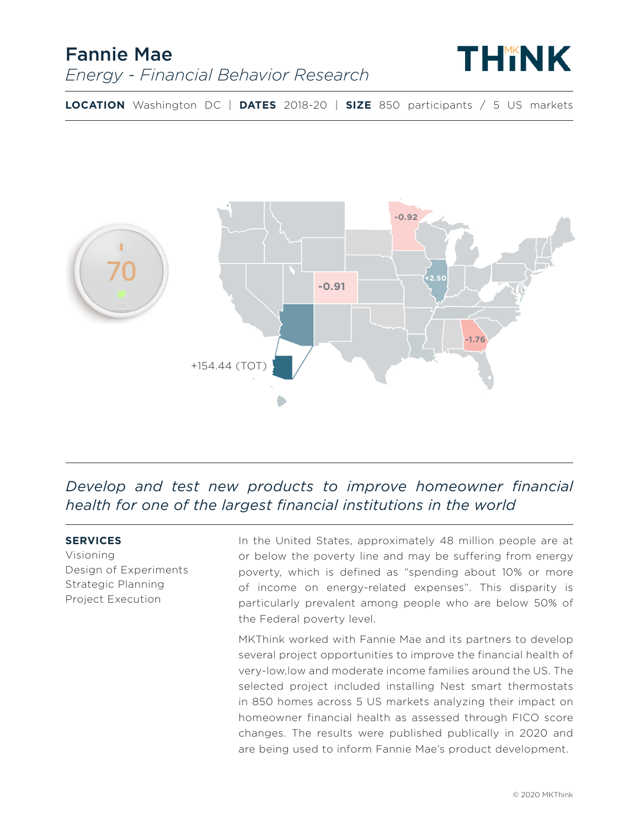## Fannie Mae *Energy - Financial Behavior Research*



**LOCATION** Washington DC | **DATES** 2018-20 | **SIZE** 850 participants / 5 US markets



*Develop and test new products to improve homeowner financial health for one of the largest financial institutions in the world* 

#### **SERVICES**

Visioning Design of Experiments Strategic Planning Project Execution

In the United States, approximately 48 million people are at or below the poverty line and may be suffering from energy poverty, which is defined as "spending about 10% or more of income on energy-related expenses". This disparity is particularly prevalent among people who are below 50% of the Federal poverty level.

MKThink worked with Fannie Mae and its partners to develop several project opportunities to improve the financial health of very-low,low and moderate income families around the US. The selected project included installing Nest smart thermostats in 850 homes across 5 US markets analyzing their impact on homeowner financial health as assessed through FICO score changes. The results were published publically in 2020 and are being used to inform Fannie Mae's product development.